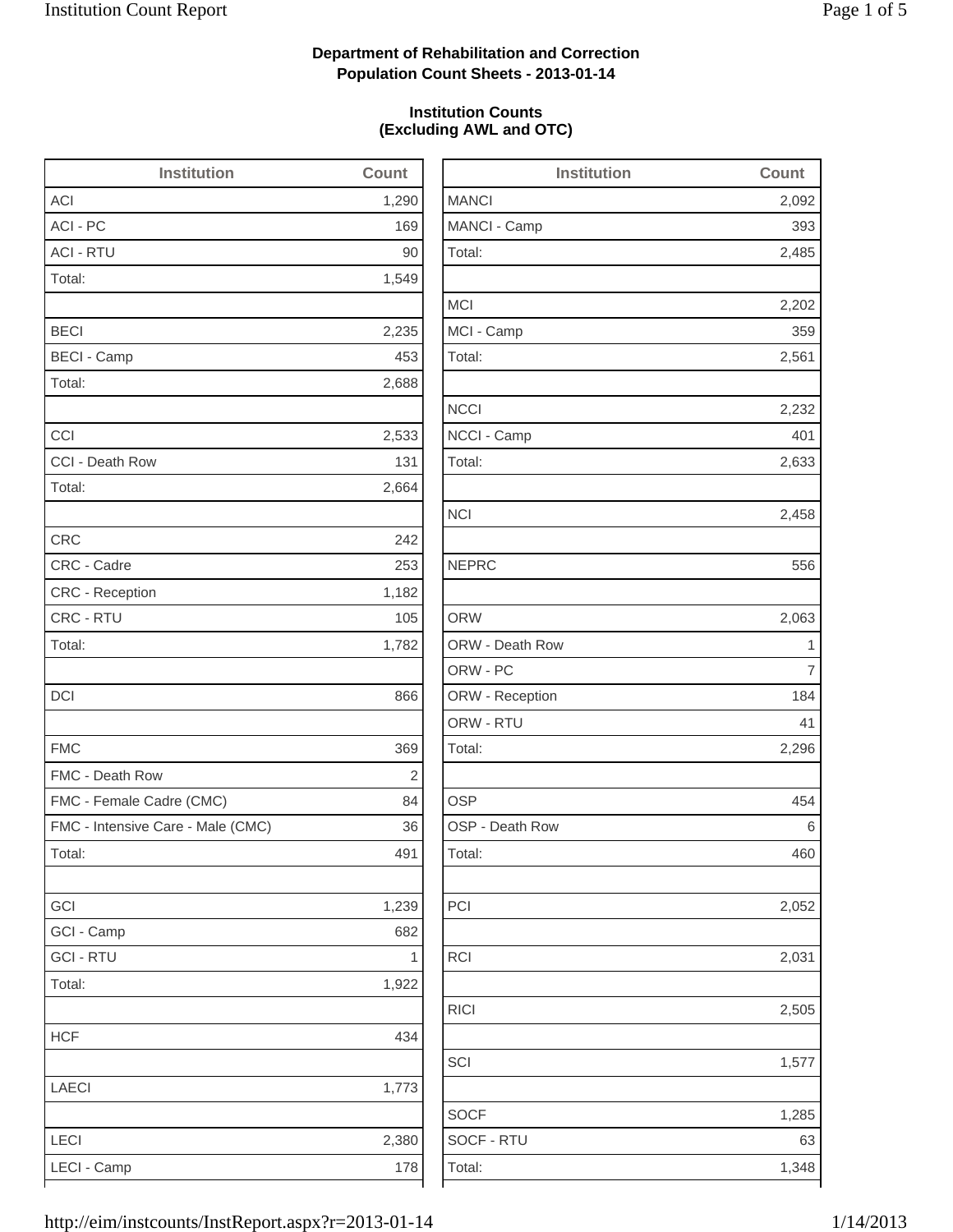2,485

2,202

2,232

2,633

2,052

2,505

1,285

## **Department of Rehabilitation and Correction Population Count Sheets - 2013-01-14**

### **Institution Counts (Excluding AWL and OTC)**

| <b>Institution</b>                | Count      | <b>Institution</b> | Count          |
|-----------------------------------|------------|--------------------|----------------|
| <b>ACI</b>                        | 1,290      | <b>MANCI</b>       | 2,092          |
| ACI - PC                          | 169        | MANCI - Camp       | 393            |
| <b>ACI - RTU</b>                  | 90         | Total:             | 2,485          |
| Total:                            | 1,549      |                    |                |
|                                   |            | <b>MCI</b>         | 2,202          |
| <b>BECI</b>                       | 2,235      | MCI - Camp         | 359            |
| <b>BECI - Camp</b>                | 453        | Total:             | 2,561          |
| Total:                            | 2,688      |                    |                |
|                                   |            | <b>NCCI</b>        | 2,232          |
| CCI                               | 2,533      | NCCI - Camp        | 401            |
| CCI - Death Row                   | 131        | Total:             | 2,633          |
| Total:                            | 2,664      |                    |                |
|                                   |            | <b>NCI</b>         | 2,458          |
| <b>CRC</b>                        | 242        |                    |                |
| CRC - Cadre                       | 253        | <b>NEPRC</b>       | 556            |
| CRC - Reception                   | 1,182      |                    |                |
| CRC - RTU                         | 105        | <b>ORW</b>         | 2,063          |
| Total:                            | 1,782      | ORW - Death Row    | $\mathbf 1$    |
|                                   |            | ORW - PC           | $\overline{7}$ |
| <b>DCI</b>                        | 866        | ORW - Reception    | 184            |
|                                   |            | ORW - RTU          | 41             |
| <b>FMC</b>                        | 369        | Total:             | 2,296          |
| FMC - Death Row                   | $\sqrt{2}$ |                    |                |
| FMC - Female Cadre (CMC)          | 84         | <b>OSP</b>         | 454            |
| FMC - Intensive Care - Male (CMC) | 36         | OSP - Death Row    | 6              |
| Total:                            | 491        | Total:             | 460            |
| GCI                               | 1,239      | PCI                | 2,052          |
| GCI - Camp                        | 682        |                    |                |
| <b>GCI - RTU</b>                  | 1          | <b>RCI</b>         | 2,031          |
| Total:                            | 1,922      |                    |                |
|                                   |            | <b>RICI</b>        | 2,505          |
| <b>HCF</b>                        | 434        |                    |                |
|                                   |            | SCI                | 1,577          |
| LAECI                             | 1,773      |                    |                |
|                                   |            | <b>SOCF</b>        | 1,285          |
| LECI                              | 2,380      | SOCF - RTU         | 63             |
| LECI - Camp                       | 178        | Total:             | 1,348          |
|                                   |            |                    |                |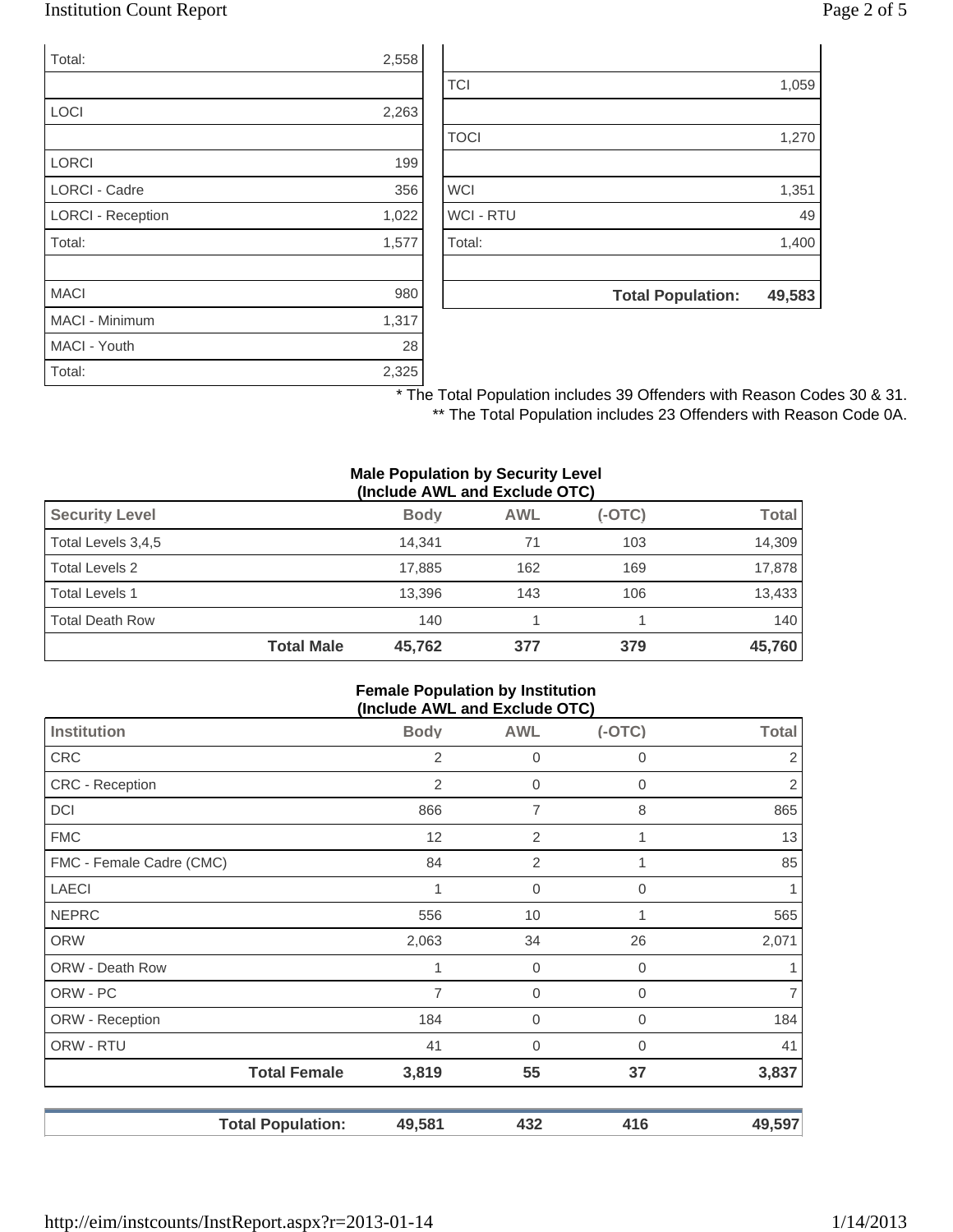### Institution Count Report Page 2 of 5

| Total:                   | 2,558 |
|--------------------------|-------|
|                          |       |
| LOCI                     | 2,263 |
|                          |       |
| <b>LORCI</b>             | 199   |
| <b>LORCI - Cadre</b>     | 356   |
| <b>LORCI - Reception</b> | 1,022 |
| Total:                   | 1,577 |
|                          |       |
| <b>MACI</b>              | 980   |
| <b>MACI - Minimum</b>    | 1,317 |
| MACI - Youth             | 28    |
| Total:                   | 2,325 |

|                  | <b>Total Population:</b> | 49,583 |
|------------------|--------------------------|--------|
|                  |                          |        |
| Total:           |                          | 1,400  |
| <b>WCI - RTU</b> |                          | 49     |
| <b>WCI</b>       |                          | 1,351  |
|                  |                          |        |
| <b>TOCI</b>      |                          | 1,270  |
|                  |                          |        |
| <b>TCI</b>       |                          | 1,059  |

\* The Total Population includes 39 Offenders with Reason Codes 30 & 31. \*\* The Total Population includes 23 Offenders with Reason Code 0A.

#### **Male Population by Security Level (Include AWL and Exclude OTC)**

| <b>Security Level</b>  |                   | <b>Body</b> | <b>AWL</b> | $(-OTC)$ | Total  |
|------------------------|-------------------|-------------|------------|----------|--------|
| Total Levels 3,4,5     |                   | 14.341      | 71         | 103      | 14,309 |
| <b>Total Levels 2</b>  |                   | 17.885      | 162        | 169      | 17,878 |
| <b>Total Levels 1</b>  |                   | 13.396      | 143        | 106      | 13,433 |
| <b>Total Death Row</b> |                   | 140         |            |          | 140    |
|                        | <b>Total Male</b> | 45.762      | 377        | 379      | 45,760 |

#### **Female Population by Institution (Include AWL and Exclude OTC)**

| - -                      |                |                |          |                |
|--------------------------|----------------|----------------|----------|----------------|
| <b>Institution</b>       | <b>Body</b>    | <b>AWL</b>     | $(-OTC)$ | <b>Total</b>   |
| <b>CRC</b>               | 2              | 0              | 0        | $\overline{2}$ |
| <b>CRC</b> - Reception   | 2              | 0              | 0        | $\sqrt{2}$     |
| DCI                      | 866            | 7              | 8        | 865            |
| <b>FMC</b>               | 12             | 2              | 1        | 13             |
| FMC - Female Cadre (CMC) | 84             | $\overline{2}$ | 1        | 85             |
| <b>LAECI</b>             | 1              | $\overline{0}$ | 0        | 1              |
| <b>NEPRC</b>             | 556            | 10             | 1        | 565            |
| <b>ORW</b>               | 2,063          | 34             | 26       | 2,071          |
| ORW - Death Row          |                | $\overline{0}$ | 0        | 1              |
| ORW - PC                 | $\overline{7}$ | $\mathbf 0$    | 0        | $\overline{7}$ |
| ORW - Reception          | 184            | $\mathbf 0$    | 0        | 184            |
| ORW - RTU                | 41             | $\overline{0}$ | 0        | 41             |
| <b>Total Female</b>      | 3,819          | 55             | 37       | 3,837          |
| <b>Total Population:</b> | 49,581         | 432            | 416      | 49,597         |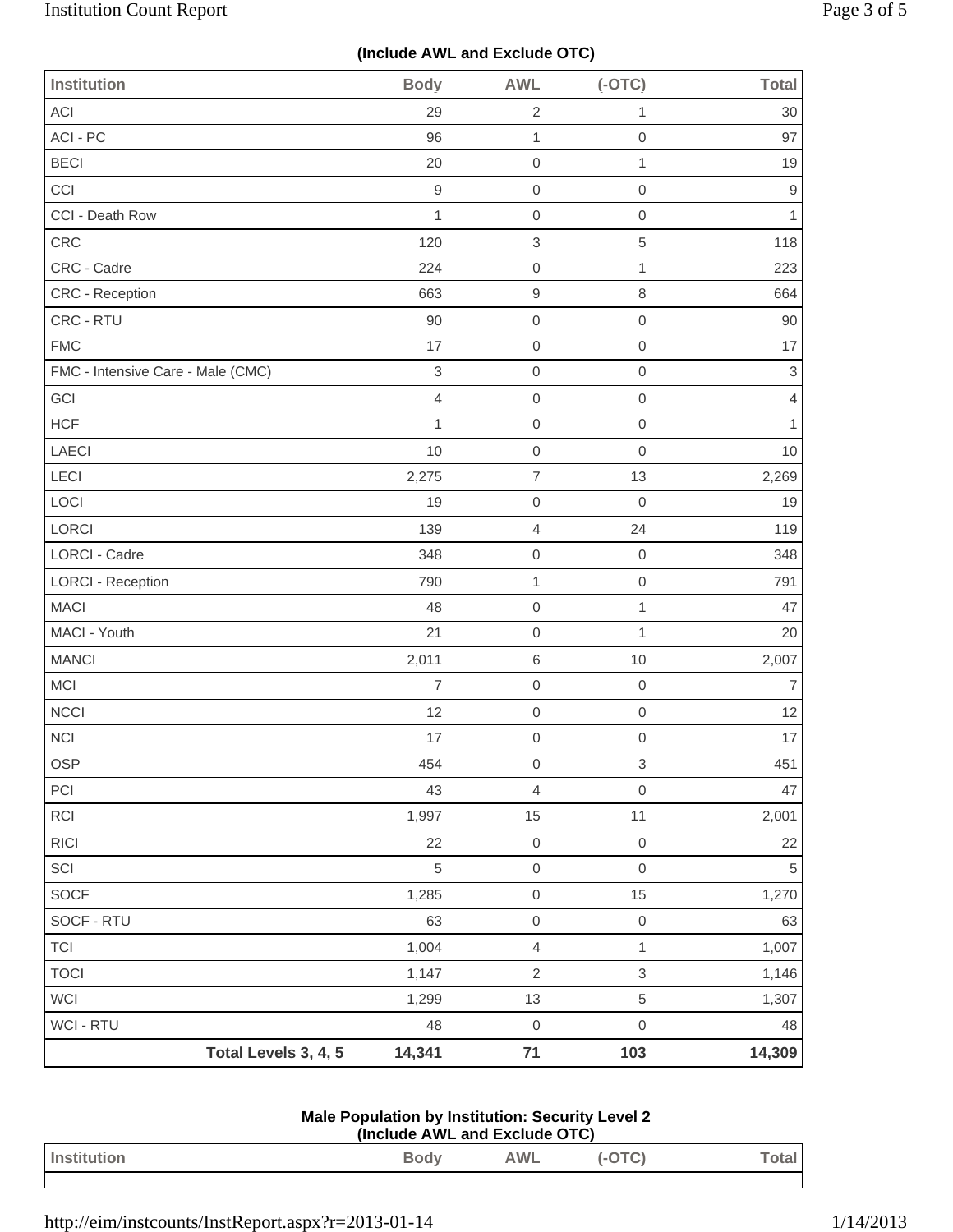# **(Include AWL and Exclude OTC)**

| <b>Institution</b>                | <b>Body</b>               | <b>AWL</b>          | $(-OTC)$                  | <b>Total</b>   |
|-----------------------------------|---------------------------|---------------------|---------------------------|----------------|
| <b>ACI</b>                        | 29                        | $\overline{2}$      | $\mathbf{1}$              | 30             |
| ACI - PC                          | 96                        | $\mathbf{1}$        | $\mathbf 0$               | 97             |
| <b>BECI</b>                       | 20                        | $\mathbf 0$         | $\mathbf{1}$              | 19             |
| CCI                               | $\boldsymbol{9}$          | $\mathsf{O}\xspace$ | $\mathbf 0$               | $\hbox{9}$     |
| CCI - Death Row                   | $\mathbf{1}$              | $\mathbf 0$         | $\mathbf 0$               | 1              |
| CRC                               | 120                       | $\,$ 3 $\,$         | 5                         | 118            |
| CRC - Cadre                       | 224                       | $\mathbf 0$         | $\mathbf{1}$              | 223            |
| <b>CRC - Reception</b>            | 663                       | $\hbox{9}$          | $\,8\,$                   | 664            |
| CRC - RTU                         | 90                        | $\mathsf{O}\xspace$ | $\mathbf 0$               | 90             |
| <b>FMC</b>                        | 17                        | $\mathbf 0$         | $\mathbf 0$               | 17             |
| FMC - Intensive Care - Male (CMC) | $\ensuremath{\mathsf{3}}$ | $\mathbf 0$         | $\mathbf 0$               | $\mathfrak{S}$ |
| GCI                               | 4                         | $\mathbf 0$         | $\mathbf 0$               | $\overline{4}$ |
| <b>HCF</b>                        | $\mathbf{1}$              | $\mathbf 0$         | $\mbox{O}$                | $\mathbf{1}$   |
| LAECI                             | 10                        | $\mathsf{O}\xspace$ | $\mathbf 0$               | 10             |
| LECI                              | 2,275                     | $\overline{7}$      | 13                        | 2,269          |
| LOCI                              | 19                        | $\mathbf 0$         | $\mathbf 0$               | 19             |
| LORCI                             | 139                       | $\overline{4}$      | 24                        | 119            |
| LORCI - Cadre                     | 348                       | $\mathsf 0$         | $\mathbf 0$               | 348            |
| <b>LORCI - Reception</b>          | 790                       | $\mathbf{1}$        | $\mathsf{O}\xspace$       | 791            |
| <b>MACI</b>                       | 48                        | $\mathbf 0$         | $\mathbf{1}$              | 47             |
| MACI - Youth                      | 21                        | $\mathbf 0$         | $\mathbf{1}$              | 20             |
| <b>MANCI</b>                      | 2,011                     | $\,6$               | 10                        | 2,007          |
| MCI                               | $\overline{7}$            | $\mathsf 0$         | $\mathbf 0$               | 7              |
| NCCI                              | 12                        | $\mathsf{O}\xspace$ | $\mathbf 0$               | 12             |
| <b>NCI</b>                        | 17                        | $\mathsf 0$         | $\mathbf 0$               | 17             |
| OSP                               | 454                       | $\mathsf{O}\xspace$ | $\ensuremath{\mathsf{3}}$ | 451            |
| PCI                               | 43                        | $\overline{4}$      | $\mathbf 0$               | 47             |
| RCI                               | 1,997                     | 15                  | 11                        | 2,001          |
| <b>RICI</b>                       | 22                        | $\mathsf{O}\xspace$ | $\,0\,$                   | 22             |
| SCI                               | 5                         | $\mathsf{O}\xspace$ | $\mathbf 0$               | $\sqrt{5}$     |
| <b>SOCF</b>                       | 1,285                     | $\mathsf{O}\xspace$ | 15                        | 1,270          |
| SOCF - RTU                        | 63                        | $\mathsf{O}\xspace$ | $\,0\,$                   | 63             |
| <b>TCI</b>                        | 1,004                     | $\overline{4}$      | $\mathbf{1}$              | 1,007          |
| <b>TOCI</b>                       | 1,147                     | $\sqrt{2}$          | $\ensuremath{\mathsf{3}}$ | 1,146          |
| <b>WCI</b>                        | 1,299                     | 13                  | $\,$ 5 $\,$               | 1,307          |
| WCI - RTU                         | 48                        | $\mathsf 0$         | $\mathsf{O}\xspace$       | 48             |
| Total Levels 3, 4, 5              | 14,341                    | $71$                | 103                       | 14,309         |

| <b>Male Population by Institution: Security Level 2</b> |  |
|---------------------------------------------------------|--|
| (Include AWL and Exclude OTC)                           |  |

| Institution | Body | <b>AWL</b> | اxtal |
|-------------|------|------------|-------|
|             |      |            |       |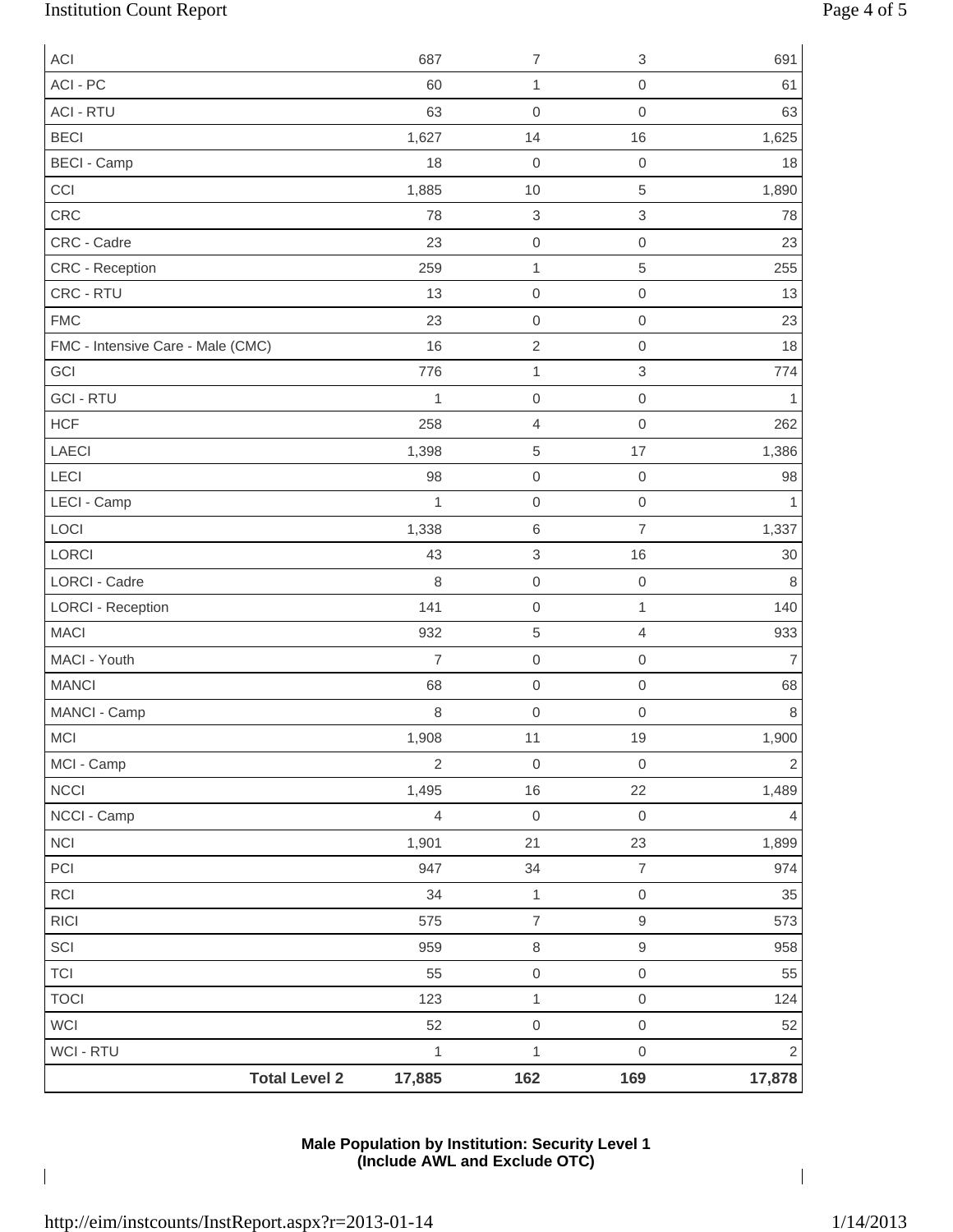# Institution Count Report Page 4 of 5

| <b>ACI</b>                        | 687            | $\overline{\mathcal{I}}$  | $\ensuremath{\mathsf{3}}$ | 691            |
|-----------------------------------|----------------|---------------------------|---------------------------|----------------|
| ACI - PC                          | 60             | 1                         | $\mbox{O}$                | 61             |
| <b>ACI - RTU</b>                  | 63             | $\mathbf 0$               | $\mathsf{O}\xspace$       | 63             |
| <b>BECI</b>                       | 1,627          | 14                        | 16                        | 1,625          |
| <b>BECI - Camp</b>                | 18             | $\boldsymbol{0}$          | $\mbox{O}$                | 18             |
| CCI                               | 1,885          | 10                        | 5                         | 1,890          |
| CRC                               | 78             | $\ensuremath{\mathsf{3}}$ | $\,$ 3 $\,$               | 78             |
| CRC - Cadre                       | 23             | $\mbox{O}$                | $\mathbf 0$               | 23             |
| CRC - Reception                   | 259            | 1                         | 5                         | 255            |
| CRC - RTU                         | 13             | $\mathbf 0$               | $\mbox{O}$                | 13             |
| <b>FMC</b>                        | 23             | $\mbox{O}$                | $\mathsf{O}\xspace$       | 23             |
| FMC - Intensive Care - Male (CMC) | 16             | $\sqrt{2}$                | $\mathbf 0$               | 18             |
| GCI                               | 776            | 1                         | $\,$ 3 $\,$               | 774            |
| <b>GCI - RTU</b>                  | $\mathbf{1}$   | $\mbox{O}$                | $\mbox{O}$                | 1              |
| <b>HCF</b>                        | 258            | $\overline{4}$            | 0                         | 262            |
| LAECI                             | 1,398          | 5                         | 17                        | 1,386          |
| LECI                              | 98             | $\boldsymbol{0}$          | $\mathbf 0$               | 98             |
| LECI - Camp                       | $\mathbf{1}$   | $\mbox{O}$                | $\mathbf 0$               | 1              |
| LOCI                              | 1,338          | $\,6$                     | $\overline{7}$            | 1,337          |
| LORCI                             | 43             | 3                         | 16                        | 30             |
| <b>LORCI - Cadre</b>              | 8              | $\mathbf 0$               | $\mathsf{O}\xspace$       | 8              |
| <b>LORCI - Reception</b>          | 141            | $\boldsymbol{0}$          | $\mathbf{1}$              | 140            |
| <b>MACI</b>                       | 932            | $\,$ 5 $\,$               | 4                         | 933            |
| MACI - Youth                      | $\overline{7}$ | $\mbox{O}$                | $\mbox{O}$                | $\overline{7}$ |
| <b>MANCI</b>                      | 68             | $\mathbf 0$               | $\mbox{O}$                | 68             |
| MANCI - Camp                      | 8              | $\mbox{O}$                | $\mathsf{O}\xspace$       | 8              |
| <b>MCI</b>                        | 1,908          | 11                        | 19                        | 1,900          |
| MCI - Camp                        | $\sqrt{2}$     | $\mbox{O}$                | $\mbox{O}$                | $\sqrt{2}$     |
| <b>NCCI</b>                       | 1,495          | 16                        | 22                        | 1,489          |
| NCCI - Camp                       | $\overline{4}$ | $\mbox{O}$                | $\mathbf 0$               | 4              |
| NCI                               | 1,901          | 21                        | 23                        | 1,899          |
| PCI                               | 947            | 34                        | $\boldsymbol{7}$          | 974            |
| RCI                               | 34             | $\mathbf 1$               | $\,0\,$                   | 35             |
| <b>RICI</b>                       | 575            | $\overline{\mathcal{I}}$  | $\hbox{9}$                | 573            |
| SCI                               | 959            | $\,8\,$                   | $\hbox{9}$                | 958            |
| <b>TCI</b>                        | 55             | $\mathsf{O}\xspace$       | $\,0\,$                   | 55             |
| <b>TOCI</b>                       | 123            | $\mathbf{1}$              | $\mathbf 0$               | 124            |
| WCI                               | 52             | $\mathsf{O}\xspace$       | $\,0\,$                   | 52             |
| <b>WCI - RTU</b>                  | $\mathbf{1}$   | $\mathbf 1$               | $\mathsf{O}\xspace$       | $\mathbf 2$    |
| <b>Total Level 2</b>              | 17,885         | 162                       | 169                       | 17,878         |

### **Male Population by Institution: Security Level 1 (Include AWL and Exclude OTC)**

 $\overline{\phantom{a}}$